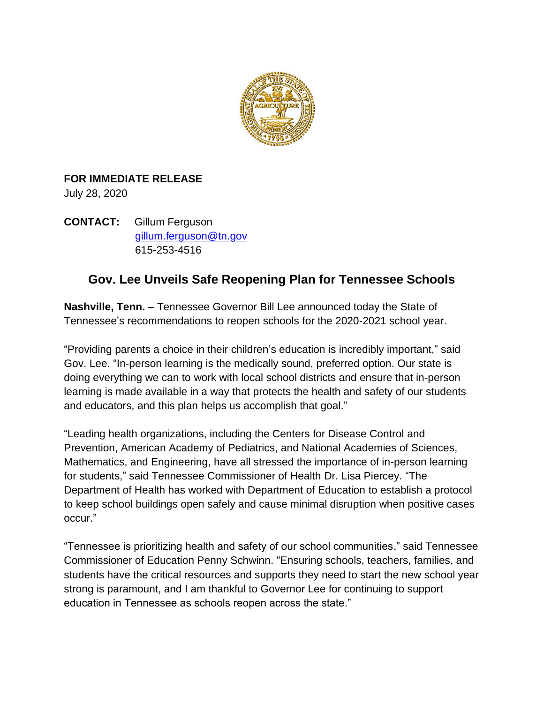

### **FOR IMMEDIATE RELEASE**

July 28, 2020

**CONTACT:** Gillum Ferguson [gillum.ferguson@tn.gov](mailto:gillum.ferguson@tn.gov) 615-253-4516

# **Gov. Lee Unveils Safe Reopening Plan for Tennessee Schools**

**Nashville, Tenn.** – Tennessee Governor Bill Lee announced today the State of Tennessee's recommendations to reopen schools for the 2020-2021 school year.

"Providing parents a choice in their children's education is incredibly important," said Gov. Lee. "In-person learning is the medically sound, preferred option. Our state is doing everything we can to work with local school districts and ensure that in-person learning is made available in a way that protects the health and safety of our students and educators, and this plan helps us accomplish that goal."

"Leading health organizations, including the Centers for Disease Control and Prevention, American Academy of Pediatrics, and National Academies of Sciences, Mathematics, and Engineering, have all stressed the importance of in-person learning for students," said Tennessee Commissioner of Health Dr. Lisa Piercey. "The Department of Health has worked with Department of Education to establish a protocol to keep school buildings open safely and cause minimal disruption when positive cases occur."

"Tennessee is prioritizing health and safety of our school communities," said Tennessee Commissioner of Education Penny Schwinn. "Ensuring schools, teachers, families, and students have the critical resources and supports they need to start the new school year strong is paramount, and I am thankful to Governor Lee for continuing to support education in Tennessee as schools reopen across the state."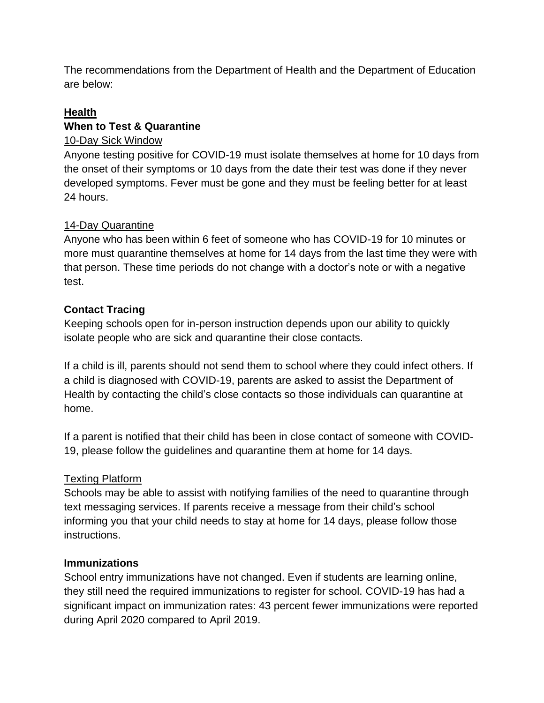The recommendations from the Department of Health and the Department of Education are below:

#### **Health When to Test & Quarantine**

### 10-Day Sick Window

Anyone testing positive for COVID-19 must isolate themselves at home for 10 days from the onset of their symptoms or 10 days from the date their test was done if they never developed symptoms. Fever must be gone and they must be feeling better for at least 24 hours.

### 14-Day Quarantine

Anyone who has been within 6 feet of someone who has COVID-19 for 10 minutes or more must quarantine themselves at home for 14 days from the last time they were with that person. These time periods do not change with a doctor's note or with a negative test.

### **Contact Tracing**

Keeping schools open for in-person instruction depends upon our ability to quickly isolate people who are sick and quarantine their close contacts.

If a child is ill, parents should not send them to school where they could infect others. If a child is diagnosed with COVID-19, parents are asked to assist the Department of Health by contacting the child's close contacts so those individuals can quarantine at home.

If a parent is notified that their child has been in close contact of someone with COVID-19, please follow the guidelines and quarantine them at home for 14 days.

## Texting Platform

Schools may be able to assist with notifying families of the need to quarantine through text messaging services. If parents receive a message from their child's school informing you that your child needs to stay at home for 14 days, please follow those instructions.

### **Immunizations**

School entry immunizations have not changed. Even if students are learning online, they still need the required immunizations to register for school. COVID-19 has had a significant impact on immunization rates: 43 percent fewer immunizations were reported during April 2020 compared to April 2019.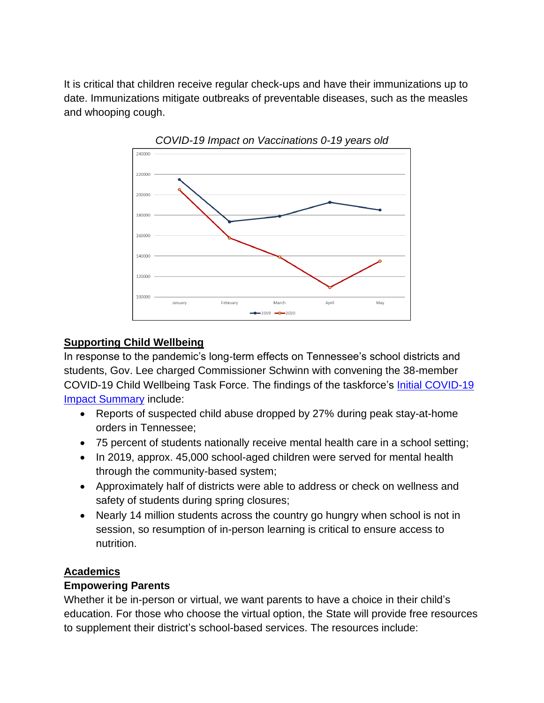It is critical that children receive regular check-ups and have their immunizations up to date. Immunizations mitigate outbreaks of preventable diseases, such as the measles and whooping cough.





#### **Supporting Child Wellbeing**

In response to the pandemic's long-term effects on Tennessee's school districts and students, Gov. Lee charged Commissioner Schwinn with convening the 38-member COVID-19 Child Wellbeing Task Force. The findings of the taskforce's [Initial COVID-19](https://www.tn.gov/content/dam/tn/education/health-&-safety/CWTF_Summary.pdf)  [Impact Summary](https://www.tn.gov/content/dam/tn/education/health-&-safety/CWTF_Summary.pdf) include:

- Reports of suspected child abuse dropped by 27% during peak stay-at-home orders in Tennessee;
- 75 percent of students nationally receive mental health care in a school setting;
- In 2019, approx. 45,000 school-aged children were served for mental health through the community-based system;
- Approximately half of districts were able to address or check on wellness and safety of students during spring closures;
- Nearly 14 million students across the country go hungry when school is not in session, so resumption of in-person learning is critical to ensure access to nutrition.

### **Academics**

#### **Empowering Parents**

Whether it be in-person or virtual, we want parents to have a choice in their child's education. For those who choose the virtual option, the State will provide free resources to supplement their district's school-based services. The resources include: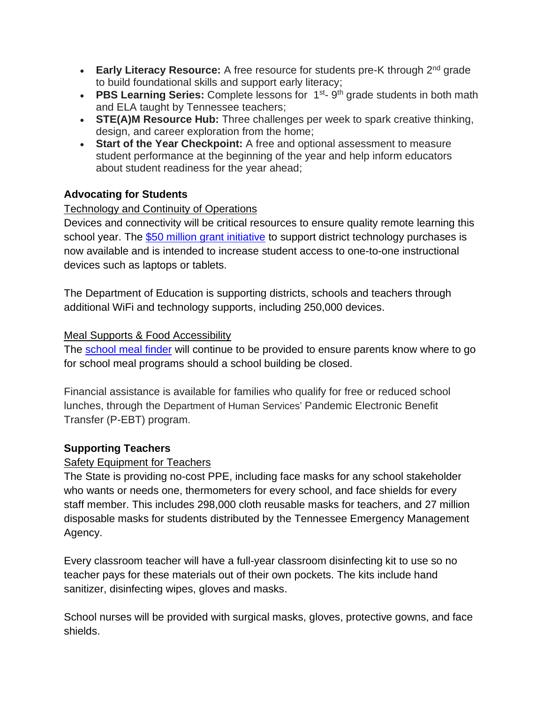- **Early Literacy Resource:** A free resource for students pre-K through 2<sup>nd</sup> grade to build foundational skills and support early literacy;
- **PBS Learning Series:** Complete lessons for 1<sup>st</sup>-9<sup>th</sup> grade students in both math and ELA taught by Tennessee teachers;
- **STE(A)M Resource Hub:** Three challenges per week to spark creative thinking, design, and career exploration from the home;
- **Start of the Year Checkpoint:** A free and optional assessment to measure student performance at the beginning of the year and help inform educators about student readiness for the year ahead;

### **Advocating for Students**

### Technology and Continuity of Operations

Devices and connectivity will be critical resources to ensure quality remote learning this school year. The [\\$50 million grant initiative](https://www.tn.gov/education/news/2020/7/7/gov--lee-announces--81-million-in-coronavirus-relief-grants-for-k-12-and-higher-education-institutions.html) to support district technology purchases is now available and is intended to increase student access to one-to-one instructional devices such as laptops or tablets.

The Department of Education is supporting districts, schools and teachers through additional WiFi and technology supports, including 250,000 devices.

#### Meal Supports & Food Accessibility

The [school meal finder](http://schoolfoodfinder.com/) will continue to be provided to ensure parents know where to go for school meal programs should a school building be closed.

Financial assistance is available for families who qualify for free or reduced school lunches, through the Department of Human Services' Pandemic Electronic Benefit Transfer (P-EBT) program.

### **Supporting Teachers**

#### Safety Equipment for Teachers

The State is providing no-cost PPE, including face masks for any school stakeholder who wants or needs one, thermometers for every school, and face shields for every staff member. This includes 298,000 cloth reusable masks for teachers, and 27 million disposable masks for students distributed by the Tennessee Emergency Management Agency.

Every classroom teacher will have a full-year classroom disinfecting kit to use so no teacher pays for these materials out of their own pockets. The kits include hand sanitizer, disinfecting wipes, gloves and masks.

School nurses will be provided with surgical masks, gloves, protective gowns, and face shields.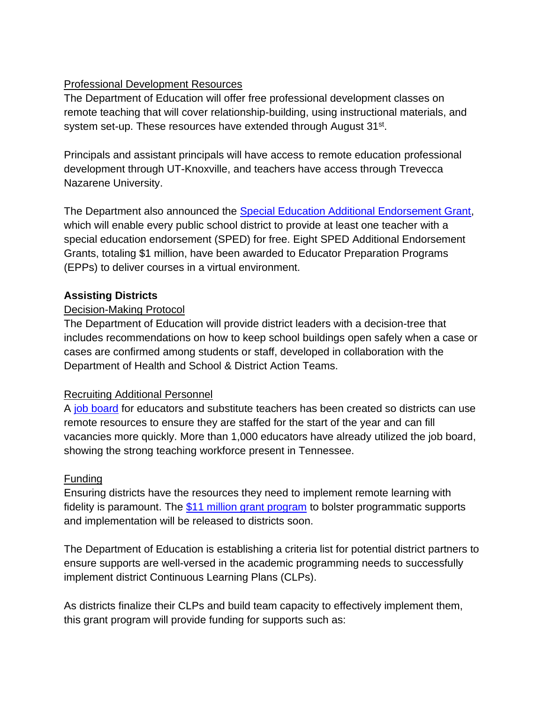### Professional Development Resources

The Department of Education will offer free professional development classes on remote teaching that will cover relationship-building, using instructional materials, and system set-up. These resources have extended through August 31st.

Principals and assistant principals will have access to remote education professional development through UT-Knoxville, and teachers have access through Trevecca Nazarene University.

The Department also announced the [Special Education Additional Endorsement Grant,](https://www.tn.gov/education/news/2020/7/15/tdoe-awards--1m-in-special-education-additional-endorsement-grants.html) which will enable every public school district to provide at least one teacher with a special education endorsement (SPED) for free. Eight SPED Additional Endorsement Grants, totaling \$1 million, have been awarded to Educator Preparation Programs (EPPs) to deliver courses in a virtual environment.

#### **Assisting Districts**

#### Decision-Making Protocol

The Department of Education will provide district leaders with a decision-tree that includes recommendations on how to keep school buildings open safely when a case or cases are confirmed among students or staff, developed in collaboration with the Department of Health and School & District Action Teams.

#### Recruiting Additional Personnel

A [job board](https://www.tn.gov/education/educator-resources/tn-teacher-jobs-connection/tn-substitute-teacher-jobs-connection.html) for educators and substitute teachers has been created so districts can use remote resources to ensure they are staffed for the start of the year and can fill vacancies more quickly. More than 1,000 educators have already utilized the job board, showing the strong teaching workforce present in Tennessee.

#### **Funding**

Ensuring districts have the resources they need to implement remote learning with fidelity is paramount. The [\\$11 million grant program](https://www.tn.gov/education/news/2020/7/7/gov--lee-announces--81-million-in-coronavirus-relief-grants-for-k-12-and-higher-education-institutions.html) to bolster programmatic supports and implementation will be released to districts soon.

The Department of Education is establishing a criteria list for potential district partners to ensure supports are well-versed in the academic programming needs to successfully implement district Continuous Learning Plans (CLPs).

As districts finalize their CLPs and build team capacity to effectively implement them, this grant program will provide funding for supports such as: